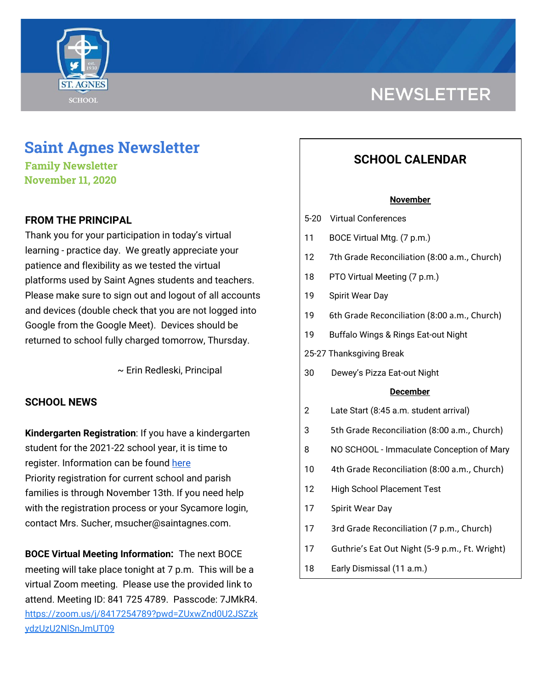

# **NEWSLETTER**

# **Saint Agnes Newsletter**

**Family Newsletter November 11, 2020**

# **FROM THE PRINCIPAL**

Thank you for your participation in today's virtual learning - practice day. We greatly appreciate your patience and flexibility as we tested the virtual platforms used by Saint Agnes students and teachers. Please make sure to sign out and logout of all accounts and devices (double check that you are not logged into Google from the Google Meet). Devices should be returned to school fully charged tomorrow, Thursday.

~ Erin Redleski, Principal

## **SCHOOL NEWS**

**Kindergarten Registration**: If you have a kindergarten student for the 2021-22 school year, it is time to register. Information can be found [here](https://school.saintagnes.com/admission/) Priority registration for current school and parish families is through November 13th. If you need help with the registration process or your Sycamore login, contact Mrs. Sucher, msucher@saintagnes.com.

**BOCE Virtual Meeting Information:** The next BOCE meeting will take place tonight at 7 p.m. This will be a virtual Zoom meeting. Please use the provided link to attend. Meeting ID: 841 725 4789. Passcode: 7JMkR4. [https://zoom.us/j/8417254789?pwd=ZUxwZnd0U2JSZzk](https://zoom.us/j/8417254789?pwd=ZUxwZnd0U2JSZzkydzUzU2NlSnJmUT09) [ydzUzU2NlSnJmUT09](https://zoom.us/j/8417254789?pwd=ZUxwZnd0U2JSZzkydzUzU2NlSnJmUT09)

# **SCHOOL CALENDAR**

#### **November**

- 5-20 Virtual Conferences
- 11 BOCE Virtual Mtg. (7 p.m.)
- 12 7th Grade Reconciliation (8:00 a.m., Church)
- 18 PTO Virtual Meeting (7 p.m.)
- 19 Spirit Wear Day
- 19 6th Grade Reconciliation (8:00 a.m., Church)
- 19 Buffalo Wings & Rings Eat-out Night
- 25-27 Thanksgiving Break
- 30 Dewey's Pizza Eat-out Night

#### **December**

- 2 Late Start (8:45 a.m. student arrival)
- 3 5th Grade Reconciliation (8:00 a.m., Church)
- 8 NO SCHOOL Immaculate Conception of Mary
- 10 4th Grade Reconciliation (8:00 a.m., Church)
- 12 High School Placement Test
- 17 Spirit Wear Day
- 17 3rd Grade Reconciliation (7 p.m., Church)
- 17 Guthrie's Eat Out Night (5-9 p.m., Ft. Wright)
- 18 Early Dismissal (11 a.m.)